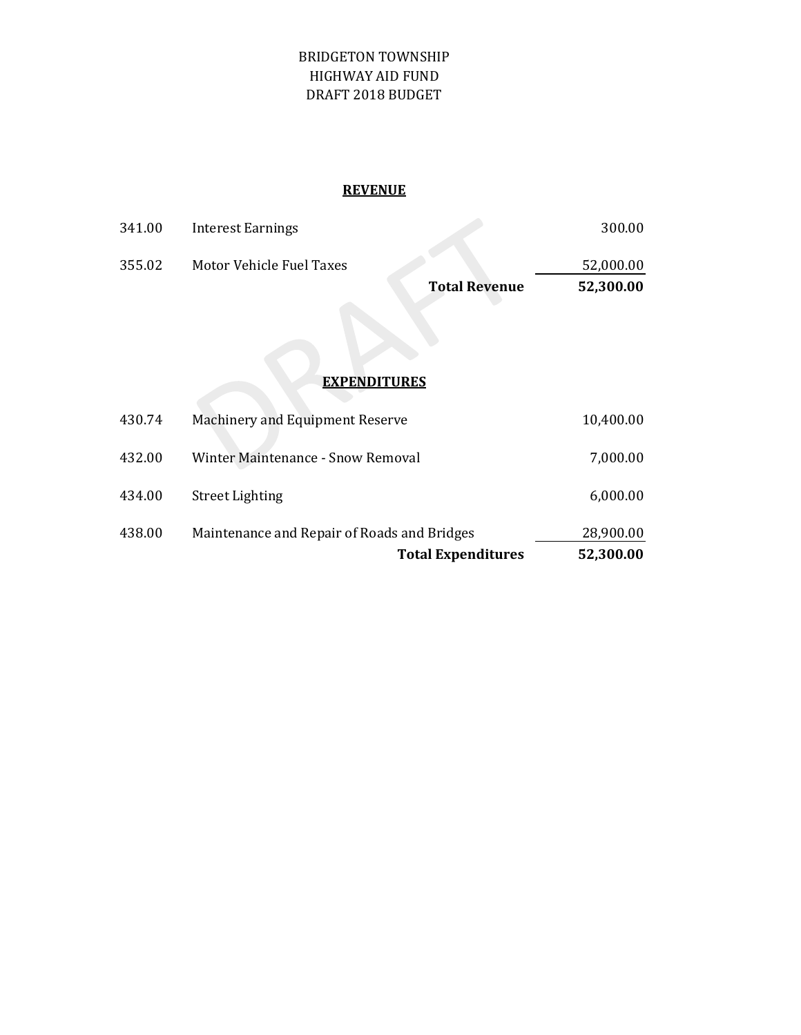#### BRIDGETON TOWNSHIP HIGHWAY AID FUND DRAFT 2018 BUDGET

### **REVENUE**

|        |                          | <b>Total Revenue</b> | 52,300.00 |
|--------|--------------------------|----------------------|-----------|
| 355.02 | Motor Vehicle Fuel Taxes |                      | 52,000.00 |
| 341.00 | Interest Earnings        |                      | 300.00    |

## **EXPENDITURES**

|        | <b>Total Expenditures</b>                   | 52,300.00 |
|--------|---------------------------------------------|-----------|
| 438.00 | Maintenance and Repair of Roads and Bridges | 28,900.00 |
| 434.00 | <b>Street Lighting</b>                      | 6,000.00  |
| 432.00 | Winter Maintenance - Snow Removal           | 7,000.00  |
| 430.74 | <b>Machinery and Equipment Reserve</b>      | 10,400.00 |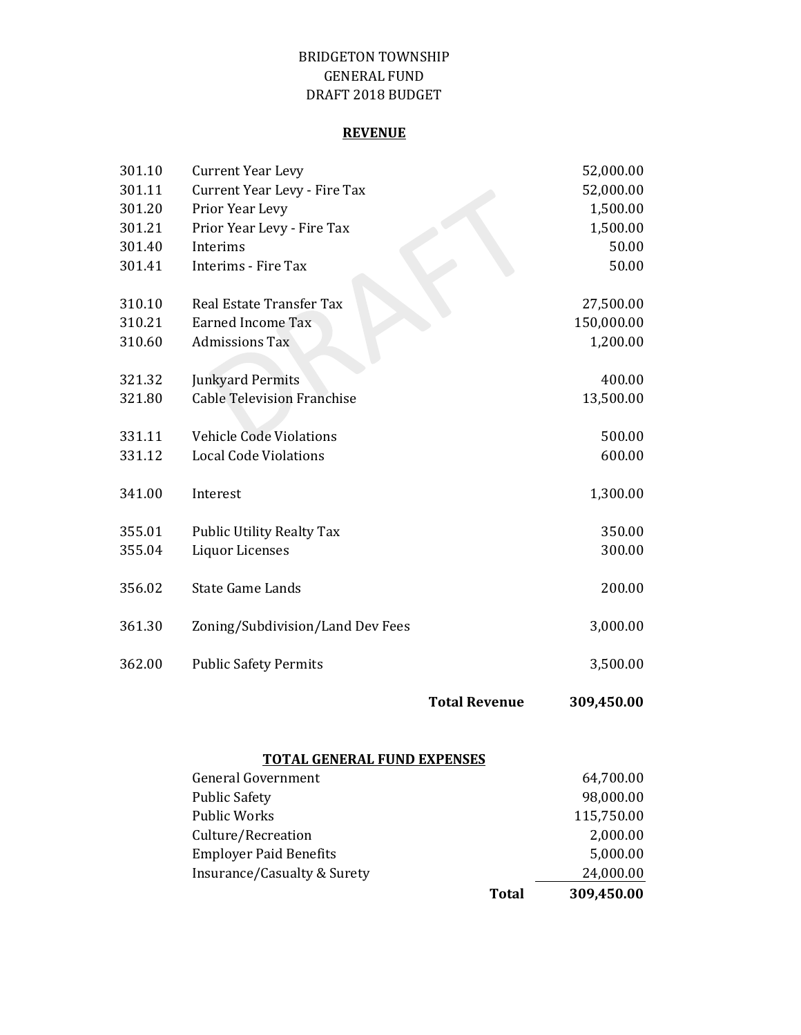#### DRAFT 2018 BUDGET BRIDGETON TOWNSHIP GENERAL FUND

#### **REVENUE**

|        |                                   | <b>Total Revenue</b> | 309,450.00 |
|--------|-----------------------------------|----------------------|------------|
| 362.00 | <b>Public Safety Permits</b>      |                      | 3,500.00   |
| 361.30 | Zoning/Subdivision/Land Dev Fees  |                      | 3,000.00   |
| 356.02 | <b>State Game Lands</b>           |                      | 200.00     |
| 355.04 | <b>Liquor Licenses</b>            |                      | 300.00     |
| 355.01 | <b>Public Utility Realty Tax</b>  |                      | 350.00     |
| 341.00 | Interest                          |                      | 1,300.00   |
| 331.12 | <b>Local Code Violations</b>      |                      | 600.00     |
| 331.11 | <b>Vehicle Code Violations</b>    |                      | 500.00     |
| 321.80 | <b>Cable Television Franchise</b> |                      | 13,500.00  |
| 321.32 | <b>Junkyard Permits</b>           |                      | 400.00     |
| 310.60 | <b>Admissions Tax</b>             |                      | 1,200.00   |
| 310.21 | <b>Earned Income Tax</b>          |                      | 150,000.00 |
| 310.10 | Real Estate Transfer Tax          |                      | 27,500.00  |
| 301.41 | Interims - Fire Tax               |                      | 50.00      |
| 301.40 | Interims                          |                      | 50.00      |
| 301.21 | Prior Year Levy - Fire Tax        |                      | 1,500.00   |
| 301.20 | Prior Year Levy                   |                      | 1,500.00   |
| 301.11 | Current Year Levy - Fire Tax      |                      | 52,000.00  |
| 301.10 | <b>Current Year Levy</b>          |                      | 52,000.00  |

# **TOTAL GENERAL FUND EXPENSES**

| <b>General Government</b>     |       | 64,700.00  |
|-------------------------------|-------|------------|
| <b>Public Safety</b>          |       | 98,000.00  |
| <b>Public Works</b>           |       | 115,750.00 |
| Culture/Recreation            |       | 2,000.00   |
| <b>Employer Paid Benefits</b> |       | 5,000.00   |
| Insurance/Casualty & Surety   |       | 24,000.00  |
|                               | Total | 309,450.00 |